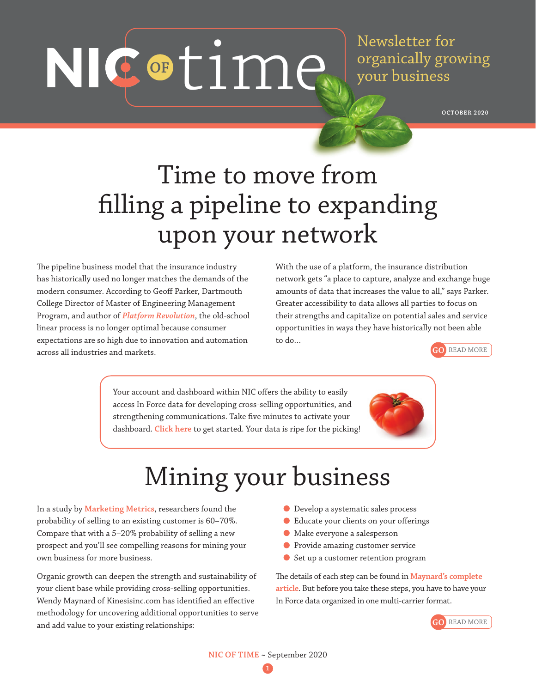NIC of time.

Newsletter for organically growing your business

**OCTOBER 2020**

## Time to move from filling a pipeline to expanding upon your network

The pipeline business model that the insurance industry has historically used no longer matches the demands of the modern consumer. According to Geoff Parker, Dartmouth College Director of Master of Engineering Management Program, and author of *[Platform Revolution](https://www.platformstrategypartners.com)*, the old-school linear process is no longer optimal because consumer expectations are so high due to innovation and automation across all industries and markets.

With the use of a platform, the insurance distribution network gets "a place to capture, analyze and exchange huge amounts of data that increases the value to all," says Parker. Greater accessibility to data allows all parties to focus on their strengths and capitalize on potential sales and service opportunities in ways they have historically not been able to do…



Your account and dashboard within NIC offers the ability to easily access In Force data for developing cross-selling opportunities, and strengthening communications. Take five minutes to activate your dashboard. **[Click here](https://www.nicresourcecenter.meetnic.com/)** to get started. Your data is ripe for the picking!

# Mining your business

In a study by **[Marketing Metrics](https://www.articulatemarketing.com/blog/5-essential-marketing-metrics)**, researchers found the probability of selling to an existing customer is 60–70%. Compare that with a 5–20% probability of selling a new prospect and you'll see compelling reasons for mining your own business for more business.

Organic growth can deepen the strength and sustainability of your client base while providing cross-selling opportunities. Wendy Maynard of Kinesisinc.com has identified an effective methodology for uncovering additional opportunities to serve and add value to your existing relationships:

- Develop a systematic sales process
- Educate your clients on your offerings
- Make everyone a salesperson
- Provide amazing customer service
- Set up a customer retention program

The details of each step can be found in **[Maynard's complete](https://www.kinesisinc.com/mine-for-gold/)  [article](https://www.kinesisinc.com/mine-for-gold/)**. But before you take these steps, you have to have your In Force data organized in one multi-carrier format.